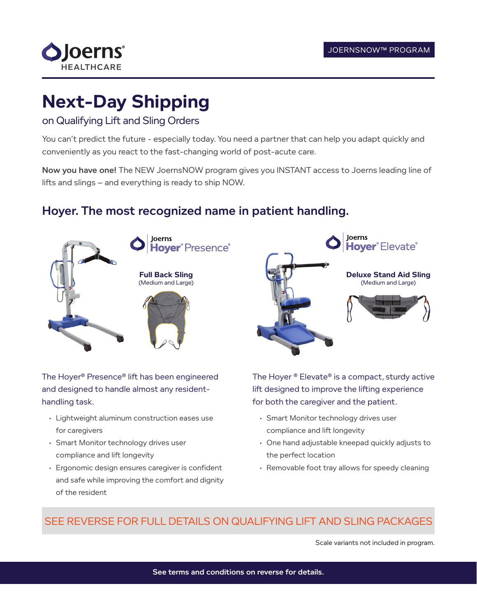

# **Next-Day Shipping**

#### on Qualifying Lift and Sling Orders

You can't predict the future - especially today. You need a partner that can help you adapt quickly and conveniently as you react to the fast-changing world of post-acute care.

Now you have one! The NEW JoernsNOW program gives you INSTANT access to Joerns leading line of lifts and slings – and everything is ready to ship NOW.

### Hoyer. The most recognized name in patient handling.



The Hoyer® Presence® lift has been engineered and designed to handle almost any residenthandling task.

- Lightweight aluminum construction eases use for caregivers
- Smart Monitor technology drives user compliance and lift longevity
- Ergonomic design ensures caregiver is confident and safe while improving the comfort and dignity of the resident



The Hoyer<sup>®</sup> Elevate<sup>®</sup> is a compact, sturdy active lift designed to improve the lifting experience for both the caregiver and the patient.

- Smart Monitor technology drives user compliance and lift longevity
- One hand adjustable kneepad quickly adjusts to the perfect location
- Removable foot tray allows for speedy cleaning

#### SEE REVERSE FOR FULL DETAILS ON QUALIFYING LIFT AND SLING PACKAGES

Scale variants not included in program.

See terms and conditions on reverse for details.